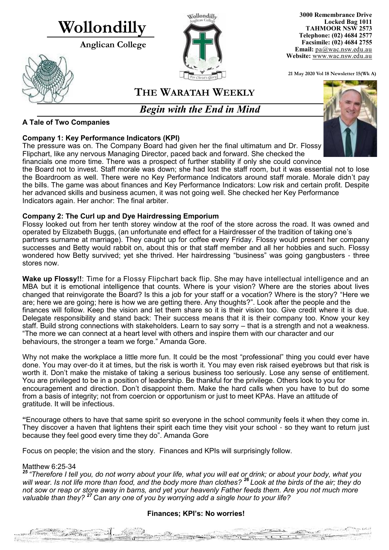# **Wollondilly**

**Anglican College** 





**3000 Remembrance Drive Locked Bag 1011 TAHMOOR NSW 2573 Telephone: (02) 4684 2577 Facsimile: (02) 4684 2755 Email:** [pa@wac.nsw.edu.au](mailto:pa@wac.nsw.edu.au) **Website:** www.wac.nsw.edu.au

**21 May 2020 Vol 18 Newsletter 15(Wk A)** 

### **THE WARATAH WEEKLY**

*Begin with the End in Mind*

#### **A Tale of Two Companies**

#### **Company 1: Key Performance Indicators (KPI)**

The pressure was on. The Company Board had given her the final ultimatum and Dr. Flossy Flipchart, like any nervous Managing Director, paced back and forward. She checked the



financials one more time. There was a prospect of further stability if only she could convince the Board not to invest. Staff morale was down; she had lost the staff room, but it was essential not to lose the Boardroom as well. There were no Key Performance Indicators around staff morale. Morale didn't pay the bills. The game was about finances and Key Performance Indicators: Low risk and certain profit. Despite her advanced skills and business acumen, it was not going well. She checked her Key Performance Indicators again. Her anchor: The final arbiter.

#### **Company 2: The Curl up and Dye Hairdressing Emporium**

Flossy looked out from her tenth storey window at the roof of the store across the road. It was owned and operated by Elizabeth Buggs, (an unfortunate end effect for a Hairdresser of the tradition of taking one's partners surname at marriage). They caught up for coffee every Friday. Flossy would present her company successes and Betty would rabbit on, about this or that staff member and all her hobbies and such. Flossy wondered how Betty survived; yet she thrived. Her hairdressing "business" was going gangbusters - three stores now.

Wake up Flossy!!: Time for a Flossy Flipchart back flip. She may have intellectual intelligence and an MBA but it is emotional intelligence that counts. Where is your vision? Where are the stories about lives changed that reinvigorate the Board? Is this a job for your staff or a vocation? Where is the story? "Here we are; here we are going; here is how we are getting there. Any thoughts?". Look after the people and the finances will follow. Keep the vision and let them share so it is their vision too. Give credit where it is due. Delegate responsibility and stand back: Their success means that it is their company too. Know your key staff. Build strong connections with stakeholders. Learn to say sorry – that is a strength and not a weakness. "The more we can connect at a heart level with others and inspire them with our character and our behaviours, the stronger a team we forge." Amanda Gore.

Why not make the workplace a little more fun. It could be the most "professional" thing you could ever have done. You may over-do it at times, but the risk is worth it. You may even risk raised eyebrows but that risk is worth it. Don't make the mistake of taking a serious business too seriously. Lose any sense of entitlement. You are privileged to be in a position of leadership. Be thankful for the privilege. Others look to you for encouragement and direction. Don't disappoint them. Make the hard calls when you have to but do some from a basis of integrity; not from coercion or opportunism or just to meet KPAs. Have an attitude of gratitude. It will be infectious.

**"**Encourage others to have that same spirit so everyone in the school community feels it when they come in. They discover a haven that lightens their spirit each time they visit your school - so they want to return just because they feel good every time they do". Amanda Gore

Focus on people; the vision and the story. Finances and KPIs will surprisingly follow.

#### Matthew 6:25-34

**Communication** 

*25 "Therefore I tell you, do not worry about your life, what you will eat or drink; or about your body, what you will wear. Is not life more than food, and the body more than clothes? <sup>26</sup> Look at the birds of the air; they do not sow or reap or store away in barns, and yet your heavenly Father feeds them. Are you not much more valuable than they? <sup>27</sup> Can any one of you by worrying add a single hour to your life?*

#### **Finances; KPI's: No worries!**

BALLAS ARCHITECTURE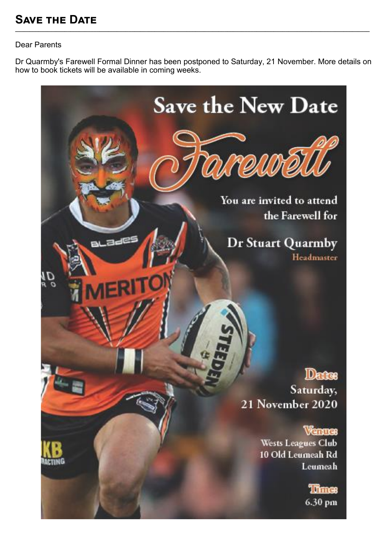## **Save the Date**

#### Dear Parents

Dr Quarmby's Farewell Formal Dinner has been postponed to Saturday, 21 November. More details on how to book tickets will be available in coming weeks.

**\_\_\_\_\_\_\_\_\_\_\_\_\_\_\_\_\_\_\_\_\_\_\_\_\_\_\_\_\_\_\_\_\_\_\_\_\_\_\_\_\_\_\_\_\_\_\_\_\_\_\_\_\_\_\_\_\_\_\_\_\_\_\_\_\_\_\_\_\_\_\_\_\_\_\_\_\_\_\_\_\_\_\_\_\_\_\_\_\_\_\_\_\_\_\_\_\_\_\_\_\_\_\_\_\_\_\_\_\_\_\_\_\_\_\_\_\_\_\_\_\_\_**

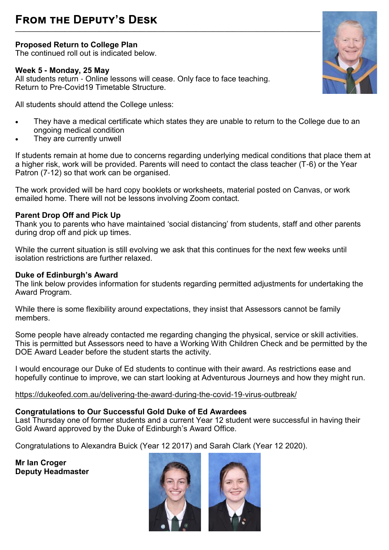**Proposed Return to College Plan**

The continued roll out is indicated below.

#### **Week 5 - Monday, 25 May**

All students return - Online lessons will cease. Only face to face teaching. Return to Pre-Covid19 Timetable Structure.

**\_\_\_\_\_\_\_\_\_\_\_\_\_\_\_\_\_\_\_\_\_\_\_\_\_\_\_\_\_\_\_\_\_\_\_\_\_\_\_\_\_\_\_\_\_\_\_\_\_\_\_\_\_\_\_\_\_\_\_\_\_\_\_\_\_\_\_\_\_\_\_\_\_\_\_\_\_\_\_\_\_\_\_\_\_\_\_\_\_\_\_\_\_\_\_\_\_\_\_\_\_\_\_\_\_**

All students should attend the College unless:

- They have a medical certificate which states they are unable to return to the College due to an ongoing medical condition
- They are currently unwell

If students remain at home due to concerns regarding underlying medical conditions that place them at a higher risk, work will be provided. Parents will need to contact the class teacher (T-6) or the Year Patron (7-12) so that work can be organised.

The work provided will be hard copy booklets or worksheets, material posted on Canvas, or work emailed home. There will not be lessons involving Zoom contact.

#### **Parent Drop Off and Pick Up**

Thank you to parents who have maintained 'social distancing' from students, staff and other parents during drop off and pick up times.

While the current situation is still evolving we ask that this continues for the next few weeks until isolation restrictions are further relaxed.

#### **Duke of Edinburgh's Award**

The link below provides information for students regarding permitted adjustments for undertaking the Award Program.

While there is some flexibility around expectations, they insist that Assessors cannot be family members.

Some people have already contacted me regarding changing the physical, service or skill activities. This is permitted but Assessors need to have a Working With Children Check and be permitted by the DOE Award Leader before the student starts the activity.

I would encourage our Duke of Ed students to continue with their award. As restrictions ease and hopefully continue to improve, we can start looking at Adventurous Journeys and how they might run.

#### [https://dukeofed.com.au/delivering](https://dukeofed.com.au/delivering-the-award-during-the-covid-19-virus-outbreak/)-the-award-during-the-covid-19-virus-outbreak/

#### **Congratulations to Our Successful Gold Duke of Ed Awardees**

Last Thursday one of former students and a current Year 12 student were successful in having their Gold Award approved by the Duke of Edinburgh's Award Office.

Congratulations to Alexandra Buick (Year 12 2017) and Sarah Clark (Year 12 2020).

**Mr Ian Croger Deputy Headmaster** 



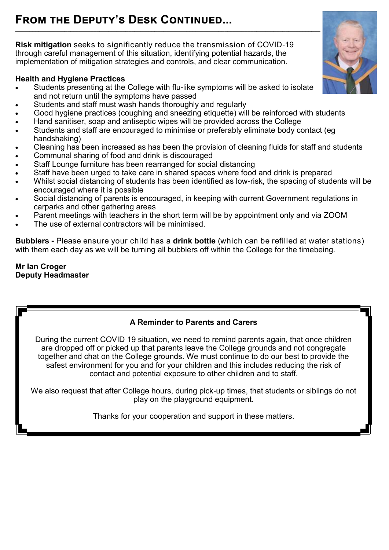#### **From the Deputy's Desk Continued... \_\_\_\_\_\_\_\_\_\_\_\_\_\_\_\_\_\_\_\_\_\_\_\_\_\_\_\_\_\_\_\_\_\_\_\_\_\_\_\_\_\_\_\_\_\_\_\_\_\_\_\_\_\_\_\_\_\_\_\_\_\_\_\_\_\_\_\_\_\_\_\_\_\_\_\_\_\_\_\_\_\_\_\_\_\_\_\_\_\_\_\_\_\_\_\_\_\_\_\_\_\_\_\_\_**

**Risk mitigation** seeks to significantly reduce the transmission of COVID-19 through careful management of this situation, identifying potential hazards, the implementation of mitigation strategies and controls, and clear communication.

#### **Health and Hygiene Practices**

- Students presenting at the College with flu-like symptoms will be asked to isolate and not return until the symptoms have passed
- Students and staff must wash hands thoroughly and regularly
- Good hygiene practices (coughing and sneezing etiquette) will be reinforced with students
- Hand sanitiser, soap and antiseptic wipes will be provided across the College
- Students and staff are encouraged to minimise or preferably eliminate body contact (eg handshaking)
- Cleaning has been increased as has been the provision of cleaning fluids for staff and students
- Communal sharing of food and drink is discouraged
- Staff Lounge furniture has been rearranged for social distancing
- Staff have been urged to take care in shared spaces where food and drink is prepared
- Whilst social distancing of students has been identified as low-risk, the spacing of students will be encouraged where it is possible
- Social distancing of parents is encouraged, in keeping with current Government regulations in carparks and other gathering areas
- Parent meetings with teachers in the short term will be by appointment only and via ZOOM
- The use of external contractors will be minimised.

**Bubblers -** Please ensure your child has a **drink bottle** (which can be refilled at water stations) with them each day as we will be turning all bubblers off within the College for the timebeing.

#### **Mr Ian Croger Deputy Headmaster**

#### **A Reminder to Parents and Carers**

During the current COVID 19 situation, we need to remind parents again, that once children are dropped off or picked up that parents leave the College grounds and not congregate together and chat on the College grounds. We must continue to do our best to provide the safest environment for you and for your children and this includes reducing the risk of contact and potential exposure to other children and to staff.

We also request that after College hours, during pick-up times, that students or siblings do not play on the playground equipment.

Thanks for your cooperation and support in these matters.

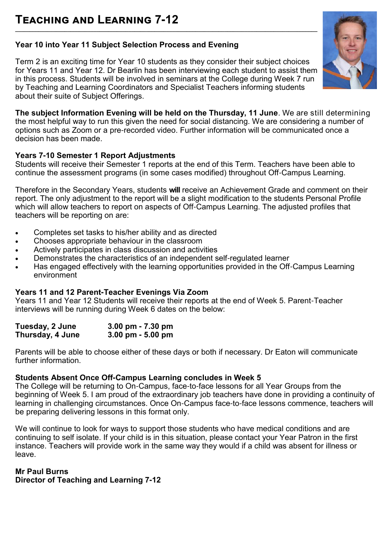#### **Year 10 into Year 11 Subject Selection Process and Evening**

Term 2 is an exciting time for Year 10 students as they consider their subject choices for Years 11 and Year 12. Dr Bearlin has been interviewing each student to assist them in this process. Students will be involved in seminars at the College during Week 7 run by Teaching and Learning Coordinators and Specialist Teachers informing students about their suite of Subject Offerings.

**The subject Information Evening will be held on the Thursday, 11 June**. We are still determining the most helpful way to run this given the need for social distancing. We are considering a number of options such as Zoom or a pre-recorded video. Further information will be communicated once a decision has been made.

#### **Years 7-10 Semester 1 Report Adjustments**

Students will receive their Semester 1 reports at the end of this Term. Teachers have been able to continue the assessment programs (in some cases modified) throughout Off-Campus Learning.

Therefore in the Secondary Years, students **will** receive an Achievement Grade and comment on their report. The only adjustment to the report will be a slight modification to the students Personal Profile which will allow teachers to report on aspects of Off-Campus Learning. The adjusted profiles that teachers will be reporting on are:

- Completes set tasks to his/her ability and as directed
- Chooses appropriate behaviour in the classroom
- Actively participates in class discussion and activities
- Demonstrates the characteristics of an independent self-regulated learner
- Has engaged effectively with the learning opportunities provided in the Off-Campus Learning environment

#### **Years 11 and 12 Parent-Teacher Evenings Via Zoom**

Years 11 and Year 12 Students will receive their reports at the end of Week 5. Parent-Teacher interviews will be running during Week 6 dates on the below:

| Tuesday, 2 June  | 3.00 pm $- 7.30$ pm                 |
|------------------|-------------------------------------|
| Thursday, 4 June | $3.00 \text{ pm} - 5.00 \text{ pm}$ |

Parents will be able to choose either of these days or both if necessary. Dr Eaton will communicate further information.

#### **Students Absent Once Off-Campus Learning concludes in Week 5**

The College will be returning to On-Campus, face-to-face lessons for all Year Groups from the beginning of Week 5. I am proud of the extraordinary job teachers have done in providing a continuity of learning in challenging circumstances. Once On-Campus face-to-face lessons commence, teachers will be preparing delivering lessons in this format only.

We will continue to look for ways to support those students who have medical conditions and are continuing to self isolate. If your child is in this situation, please contact your Year Patron in the first instance. Teachers will provide work in the same way they would if a child was absent for illness or leave.

#### **Mr Paul Burns**

**Director of Teaching and Learning 7-12**

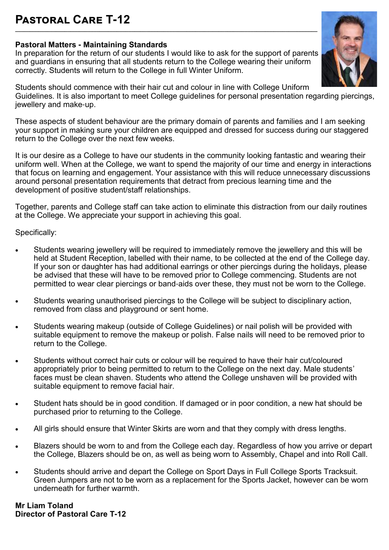#### **Pastoral Care T-12 \_\_\_\_\_\_\_\_\_\_\_\_\_\_\_\_\_\_\_\_\_\_\_\_\_\_\_\_\_\_\_\_\_\_\_\_\_\_\_\_\_\_\_\_\_\_\_\_\_\_\_\_\_\_\_\_\_\_\_\_\_\_\_\_\_\_\_\_\_\_\_\_\_\_\_\_\_\_\_\_\_\_\_\_\_\_\_\_\_\_\_\_\_\_\_\_\_\_\_\_\_\_\_\_**

#### **Pastoral Matters - Maintaining Standards**

In preparation for the return of our students I would like to ask for the support of parents and guardians in ensuring that all students return to the College wearing their uniform correctly. Students will return to the College in full Winter Uniform.



Students should commence with their hair cut and colour in line with College Uniform Guidelines. It is also important to meet College guidelines for personal presentation regarding piercings, jewellery and make-up.

These aspects of student behaviour are the primary domain of parents and families and I am seeking your support in making sure your children are equipped and dressed for success during our staggered return to the College over the next few weeks.

It is our desire as a College to have our students in the community looking fantastic and wearing their uniform well. When at the College, we want to spend the majority of our time and energy in interactions that focus on learning and engagement. Your assistance with this will reduce unnecessary discussions around personal presentation requirements that detract from precious learning time and the development of positive student/staff relationships.

Together, parents and College staff can take action to eliminate this distraction from our daily routines at the College. We appreciate your support in achieving this goal.

Specifically:

- Students wearing jewellery will be required to immediately remove the jewellery and this will be held at Student Reception, labelled with their name, to be collected at the end of the College day. If your son or daughter has had additional earrings or other piercings during the holidays, please be advised that these will have to be removed prior to College commencing. Students are not permitted to wear clear piercings or band-aids over these, they must not be worn to the College.
- Students wearing unauthorised piercings to the College will be subject to disciplinary action, removed from class and playground or sent home.
- Students wearing makeup (outside of College Guidelines) or nail polish will be provided with suitable equipment to remove the makeup or polish. False nails will need to be removed prior to return to the College.
- Students without correct hair cuts or colour will be required to have their hair cut/coloured appropriately prior to being permitted to return to the College on the next day. Male students' faces must be clean shaven. Students who attend the College unshaven will be provided with suitable equipment to remove facial hair.
- Student hats should be in good condition. If damaged or in poor condition, a new hat should be purchased prior to returning to the College.
- All girls should ensure that Winter Skirts are worn and that they comply with dress lengths.
- Blazers should be worn to and from the College each day. Regardless of how you arrive or depart the College, Blazers should be on, as well as being worn to Assembly, Chapel and into Roll Call.
- Students should arrive and depart the College on Sport Days in Full College Sports Tracksuit. Green Jumpers are not to be worn as a replacement for the Sports Jacket, however can be worn underneath for further warmth.

**Mr Liam Toland Director of Pastoral Care T-12**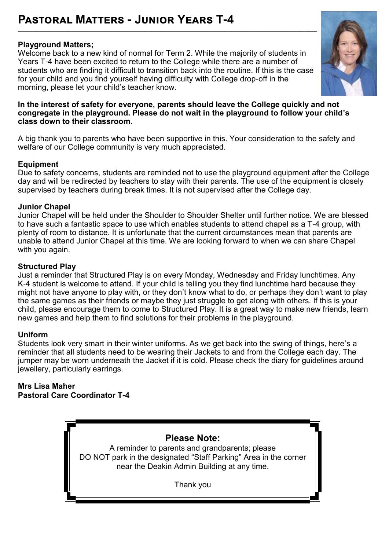## **Pastoral Matters - Junior Years T-4**

#### **Playground Matters;**

Welcome back to a new kind of normal for Term 2. While the majority of students in Years T-4 have been excited to return to the College while there are a number of students who are finding it difficult to transition back into the routine. If this is the case for your child and you find yourself having difficulty with College drop-off in the morning, please let your child's teacher know.



#### **In the interest of safety for everyone, parents should leave the College quickly and not congregate in the playground. Please do not wait in the playground to follow your child's class down to their classroom.**

A big thank you to parents who have been supportive in this. Your consideration to the safety and welfare of our College community is very much appreciated.

#### **Equipment**

Due to safety concerns, students are reminded not to use the playground equipment after the College day and will be redirected by teachers to stay with their parents. The use of the equipment is closely supervised by teachers during break times. It is not supervised after the College day.

#### **Junior Chapel**

Junior Chapel will be held under the Shoulder to Shoulder Shelter until further notice. We are blessed to have such a fantastic space to use which enables students to attend chapel as a T-4 group, with plenty of room to distance. It is unfortunate that the current circumstances mean that parents are unable to attend Junior Chapel at this time. We are looking forward to when we can share Chapel with you again.

#### **Structured Play**

Just a reminder that Structured Play is on every Monday, Wednesday and Friday lunchtimes. Any K-4 student is welcome to attend. If your child is telling you they find lunchtime hard because they might not have anyone to play with, or they don't know what to do, or perhaps they don't want to play the same games as their friends or maybe they just struggle to get along with others. If this is your child, please encourage them to come to Structured Play. It is a great way to make new friends, learn new games and help them to find solutions for their problems in the playground.

#### **Uniform**

Students look very smart in their winter uniforms. As we get back into the swing of things, here's a reminder that all students need to be wearing their Jackets to and from the College each day. The jumper may be worn underneath the Jacket if it is cold. Please check the diary for guidelines around jewellery, particularly earrings.

**Mrs Lisa Maher Pastoral Care Coordinator T-4**

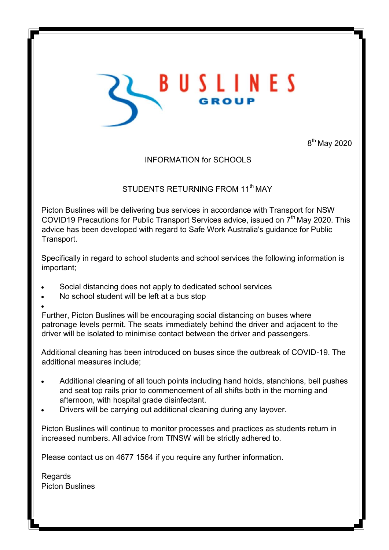

8<sup>th</sup> May 2020

#### INFORMATION for SCHOOLS

#### STUDENTS RETURNING FROM 11<sup>th</sup> MAY

Picton Buslines will be delivering bus services in accordance with Transport for NSW COVID19 Precautions for Public Transport Services advice, issued on 7<sup>th</sup> May 2020. This advice has been developed with regard to Safe Work Australia's guidance for Public Transport.

Specifically in regard to school students and school services the following information is important;

- Social distancing does not apply to dedicated school services
- No school student will be left at a bus stop
- $\bullet$

Further, Picton Buslines will be encouraging social distancing on buses where patronage levels permit. The seats immediately behind the driver and adjacent to the driver will be isolated to minimise contact between the driver and passengers.

Additional cleaning has been introduced on buses since the outbreak of COVID-19. The additional measures include;

- Additional cleaning of all touch points including hand holds, stanchions, bell pushes and seat top rails prior to commencement of all shifts both in the morning and afternoon, with hospital grade disinfectant.
- Drivers will be carrying out additional cleaning during any layover.

Picton Buslines will continue to monitor processes and practices as students return in increased numbers. All advice from TfNSW will be strictly adhered to.

Please contact us on 4677 1564 if you require any further information.

**Regards** Picton Buslines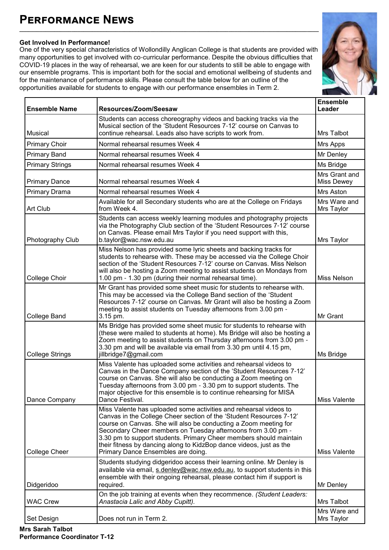## **Performance News**

#### **Get Involved In Performance!**

One of the very special characteristics of Wollondilly Anglican College is that students are provided with many opportunities to get involved with co-curricular performance. Despite the obvious difficulties that COVID-19 places in the way of rehearsal, we are keen for our students to still be able to engage with our ensemble programs. This is important both for the social and emotional wellbeing of students and for the maintenance of performance skills. Please consult the table below for an outline of the opportunities available for students to engage with our performance ensembles in Term 2.

**\_\_\_\_\_\_\_\_\_\_\_\_\_\_\_\_\_\_\_\_\_\_\_\_\_\_\_\_\_\_\_\_\_\_\_\_\_\_\_\_\_\_\_\_\_\_\_\_\_\_\_\_\_\_\_\_\_\_\_\_\_\_\_\_\_\_\_\_\_\_\_\_\_\_\_\_\_\_\_\_\_\_\_\_\_\_\_\_\_\_\_\_\_\_\_\_\_\_\_\_\_\_\_**



| <b>Ensemble Name</b>   | Resources/Zoom/Seesaw                                                                                                                                                                                                                                                                                                                                                                                                                                           | <b>Ensemble</b><br>Leader   |
|------------------------|-----------------------------------------------------------------------------------------------------------------------------------------------------------------------------------------------------------------------------------------------------------------------------------------------------------------------------------------------------------------------------------------------------------------------------------------------------------------|-----------------------------|
| <b>Musical</b>         | Students can access choreography videos and backing tracks via the<br>Musical section of the 'Student Resources 7-12' course on Canvas to<br>continue rehearsal. Leads also have scripts to work from.                                                                                                                                                                                                                                                          | Mrs Talbot                  |
| <b>Primary Choir</b>   | Normal rehearsal resumes Week 4                                                                                                                                                                                                                                                                                                                                                                                                                                 | Mrs Apps                    |
| <b>Primary Band</b>    | Normal rehearsal resumes Week 4                                                                                                                                                                                                                                                                                                                                                                                                                                 | Mr Denley                   |
| <b>Primary Strings</b> | Normal rehearsal resumes Week 4                                                                                                                                                                                                                                                                                                                                                                                                                                 | Ms Bridge                   |
| <b>Primary Dance</b>   | Normal rehearsal resumes Week 4                                                                                                                                                                                                                                                                                                                                                                                                                                 | Mrs Grant and<br>Miss Dewey |
| Primary Drama          | Normal rehearsal resumes Week 4                                                                                                                                                                                                                                                                                                                                                                                                                                 | Mrs Aston                   |
| Art Club               | Available for all Secondary students who are at the College on Fridays<br>from Week 4.                                                                                                                                                                                                                                                                                                                                                                          | Mrs Ware and<br>Mrs Taylor  |
| Photography Club       | Students can access weekly learning modules and photography projects<br>via the Photography Club section of the 'Student Resources 7-12' course<br>on Canvas. Please email Mrs Taylor if you need support with this,<br>b.taylor@wac.nsw.edu.au                                                                                                                                                                                                                 | Mrs Taylor                  |
| College Choir          | Miss Nelson has provided some lyric sheets and backing tracks for<br>students to rehearse with. These may be accessed via the College Choir<br>section of the 'Student Resources 7-12' course on Canvas. Miss Nelson<br>will also be hosting a Zoom meeting to assist students on Mondays from<br>1.00 pm - 1.30 pm (during their normal rehearsal time).                                                                                                       | Miss Nelson                 |
| <b>College Band</b>    | Mr Grant has provided some sheet music for students to rehearse with.<br>This may be accessed via the College Band section of the 'Student<br>Resources 7-12' course on Canvas. Mr Grant will also be hosting a Zoom<br>meeting to assist students on Tuesday afternoons from 3.00 pm -<br>3.15 pm.                                                                                                                                                             | Mr Grant                    |
| <b>College Strings</b> | Ms Bridge has provided some sheet music for students to rehearse with<br>(these were mailed to students at home). Ms Bridge will also be hosting a<br>Zoom meeting to assist students on Thursday afternoons from 3.00 pm -<br>3.30 pm and will be available via email from 3.30 pm until 4.15 pm,<br>jillbridge7@gmail.com                                                                                                                                     | Ms Bridge                   |
| Dance Company          | Miss Valente has uploaded some activities and rehearsal videos to<br>Canvas in the Dance Company section of the 'Student Resources 7-12'<br>course on Canvas. She will also be conducting a Zoom meeting on<br>Tuesday afternoons from 3.00 pm - 3.30 pm to support students. The<br>major objective for this ensemble is to continue rehearsing for MISA<br>Dance Festival.                                                                                    | Miss Valente                |
| College Cheer          | Miss Valente has uploaded some activities and rehearsal videos to<br>Canvas in the College Cheer section of the 'Student Resources 7-12'<br>course on Canvas. She will also be conducting a Zoom meeting for<br>Secondary Cheer members on Tuesday afternoons from 3.00 pm -<br>3.30 pm to support students. Primary Cheer members should maintain<br>their fitness by dancing along to KidzBop dance videos, just as the<br>Primary Dance Ensembles are doing. | <b>Miss Valente</b>         |
| Didgeridoo             | Students studying didgeridoo access their learning online. Mr Denley is<br>available via email, s.denley@wac.nsw.edu.au, to support students in this<br>ensemble with their ongoing rehearsal, please contact him if support is<br>required.                                                                                                                                                                                                                    | Mr Denley                   |
| <b>WAC Crew</b>        | On the job training at events when they recommence. (Student Leaders:<br>Anastacia Lalic and Abby Cupitt).                                                                                                                                                                                                                                                                                                                                                      | Mrs Talbot                  |
| Set Design             | Does not run in Term 2.                                                                                                                                                                                                                                                                                                                                                                                                                                         | Mrs Ware and<br>Mrs Taylor  |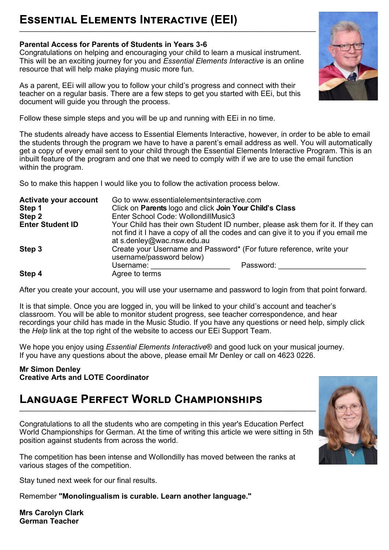## **Essential Elements Interactive (EEI)**

#### **Parental Access for Parents of Students in Years 3-6**

Congratulations on helping and encouraging your child to learn a musical instrument. This will be an exciting journey for you and *Essential Elements Interactive* is an online resource that will help make playing music more fun.

As a parent, EEi will allow you to follow your child's progress and connect with their teacher on a regular basis. There are a few steps to get you started with EEi, but this document will guide you through the process.

Follow these simple steps and you will be up and running with EEi in no time.

The students already have access to Essential Elements Interactive, however, in order to be able to email the students through the program we have to have a parent's email address as well. You will automatically get a copy of every email sent to your child through the Essential Elements Interactive Program. This is an inbuilt feature of the program and one that we need to comply with if we are to use the email function within the program.

So to make this happen I would like you to follow the activation process below.

| Activate your account<br>Step 1<br>Step 2 | Go to www.essentialelementsinteractive.com<br>Click on Parents logo and click Join Your Child's Class<br>Enter School Code: WollondillMusic3                         |           |
|-------------------------------------------|----------------------------------------------------------------------------------------------------------------------------------------------------------------------|-----------|
| <b>Enter Student ID</b>                   | Your Child has their own Student ID number, please ask them for it. If they can<br>not find it I have a copy of all the codes and can give it to you if you email me |           |
| Step 3                                    | at s.denley@wac.nsw.edu.au<br>Create your Username and Password* (For future reference, write your<br>username/password below)                                       |           |
| Step 4                                    | Username:<br>Agree to terms                                                                                                                                          | Password: |

After you create your account, you will use your username and password to login from that point forward.

It is that simple. Once you are logged in, you will be linked to your child's account and teacher's classroom. You will be able to monitor student progress, see teacher correspondence, and hear recordings your child has made in the Music Studio. If you have any questions or need help, simply click the *Help* link at the top right of the website to access our EEi Support Team.

We hope you enjoy using *Essential Elements Interactive*® and good luck on your musical journey. If you have any questions about the above, please email Mr Denley or call on 4623 0226.

#### **Mr Simon Denley Creative Arts and LOTE Coordinator**

#### **Language Perfect World Championships \_\_\_\_\_\_\_\_\_\_\_\_\_\_\_\_\_\_\_\_\_\_\_\_\_\_\_\_\_\_\_\_\_\_\_\_\_\_\_\_\_\_\_\_\_\_\_\_\_\_\_\_\_\_\_\_\_\_\_\_\_\_\_\_\_\_\_\_\_\_\_\_\_\_\_\_\_\_\_\_\_\_\_\_\_\_\_\_\_\_\_\_\_\_\_\_\_\_\_\_\_\_**

Congratulations to all the students who are competing in this year's Education Perfect World Championships for German. At the time of writing this article we were sitting in 5th position against students from across the world.

The competition has been intense and Wollondilly has moved between the ranks at various stages of the competition.

Stay tuned next week for our final results.

Remember **"Monolingualism is curable. Learn another language."**

**Mrs Carolyn Clark German Teacher** 



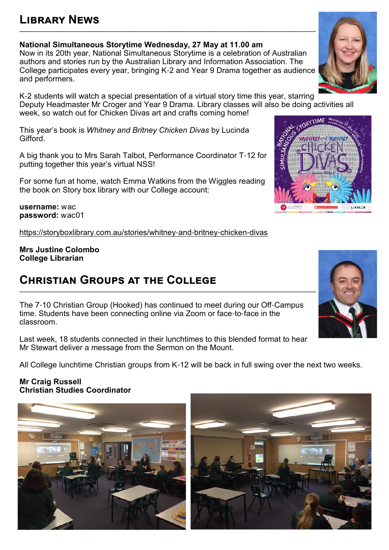## **Library News**

**National Simultaneous Storytime Wednesday, 27 May at 11.00 am**

Now in its 20th year, National Simultaneous Storytime is a celebration of Australian authors and stories run by the Australian Library and Information Association. The College participates every year, bringing K-2 and Year 9 Drama together as audience and performers.

**\_\_\_\_\_\_\_\_\_\_\_\_\_\_\_\_\_\_\_\_\_\_\_\_\_\_\_\_\_\_\_\_\_\_\_\_\_\_\_\_\_\_\_\_\_\_\_\_\_\_\_\_\_\_\_\_\_\_\_\_\_\_\_\_\_\_\_\_\_\_\_\_\_\_\_\_\_\_\_\_\_\_\_\_\_\_\_\_\_\_\_\_\_\_\_\_\_\_\_\_\_\_**

K-2 students will watch a special presentation of a virtual story time this year, starring Deputy Headmaster Mr Croger and Year 9 Drama. Library classes will also be doing activities all week, so watch out for Chicken Divas art and crafts coming home!

This year's book is *Whitney and Britney Chicken Divas* by Lucinda Gifford.

A big thank you to Mrs Sarah Talbot, Performance Coordinator T-12 for putting together this year's virtual NSS!

For some fun at home, watch Emma Watkins from the Wiggles reading the book on Story box library with our College account:

**username:** wac **password:** wac01

[https://storyboxlibrary.com.au/stories/whitney](https://storyboxlibrary.com.au/stories/whitney-and-britney-chicken-divas)-and-britney-chicken-divas

**Mrs Justine Colombo College Librarian**

## **Christian Groups at the College**

The 7-10 Christian Group (Hooked) has continued to meet during our Off-Campus time. Students have been connecting online via Zoom or face-to-face in the classroom.

Last week, 18 students connected in their lunchtimes to this blended format to hear Mr Stewart deliver a message from the Sermon on the Mount.

All College lunchtime Christian groups from K-12 will be back in full swing over the next two weeks.

#### **Mr Craig Russell Christian Studies Coordinator**









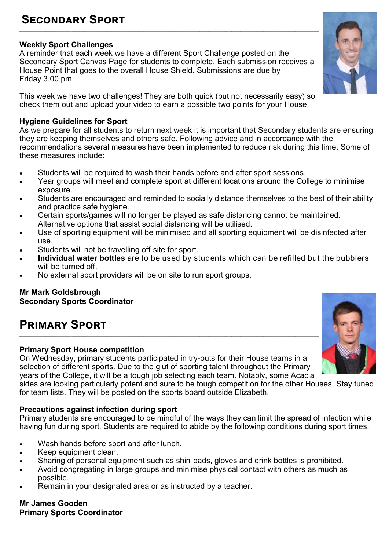## **Secondary Sport**

#### **Weekly Sport Challenges**

A reminder that each week we have a different Sport Challenge posted on the Secondary Sport Canvas Page for students to complete. Each submission receives a House Point that goes to the overall House Shield. Submissions are due by Friday 3.00 pm.

**\_\_\_\_\_\_\_\_\_\_\_\_\_\_\_\_\_\_\_\_\_\_\_\_\_\_\_\_\_\_\_\_\_\_\_\_\_\_\_\_\_\_\_\_\_\_\_\_\_\_\_\_\_\_\_\_\_\_\_\_\_\_\_\_\_\_\_\_\_\_\_\_\_\_\_\_\_\_\_\_\_\_\_\_\_\_\_\_\_\_\_\_\_\_\_\_\_\_\_\_\_\_\_**

This week we have two challenges! They are both quick (but not necessarily easy) so check them out and upload your video to earn a possible two points for your House.

#### **Hygiene Guidelines for Sport**

As we prepare for all students to return next week it is important that Secondary students are ensuring they are keeping themselves and others safe. Following advice and in accordance with the recommendations several measures have been implemented to reduce risk during this time. Some of these measures include:

- Students will be required to wash their hands before and after sport sessions.
- Year groups will meet and complete sport at different locations around the College to minimise exposure.
- Students are encouraged and reminded to socially distance themselves to the best of their ability and practice safe hygiene.
- Certain sports/games will no longer be played as safe distancing cannot be maintained. Alternative options that assist social distancing will be utilised.
- Use of sporting equipment will be minimised and all sporting equipment will be disinfected after use.
- Students will not be travelling off-site for sport.
- **Individual water bottles** are to be used by students which can be refilled but the bubblers will be turned off.
- No external sport providers will be on site to run sport groups.

#### **Mr Mark Goldsbrough Secondary Sports Coordinator**

## **Primary Sport**

#### **Primary Sport House competition**

On Wednesday, primary students participated in try-outs for their House teams in a selection of different sports. Due to the glut of sporting talent throughout the Primary years of the College, it will be a tough job selecting each team. Notably, some Acacia

sides are looking particularly potent and sure to be tough competition for the other Houses. Stay tuned for team lists. They will be posted on the sports board outside Elizabeth.

#### **Precautions against infection during sport**

Primary students are encouraged to be mindful of the ways they can limit the spread of infection while having fun during sport. Students are required to abide by the following conditions during sport times.

- Wash hands before sport and after lunch.
- Keep equipment clean.
- Sharing of personal equipment such as shin-pads, gloves and drink bottles is prohibited.
- Avoid congregating in large groups and minimise physical contact with others as much as possible.
- Remain in your designated area or as instructed by a teacher.

#### **Mr James Gooden Primary Sports Coordinator**



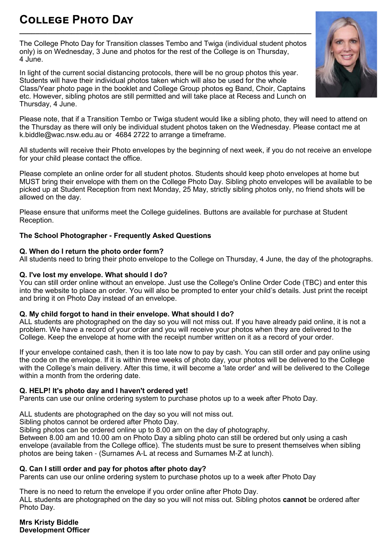## **College Photo Day**

The College Photo Day for Transition classes Tembo and Twiga (individual student photos only) is on Wednesday, 3 June and photos for the rest of the College is on Thursday, 4 June.

**\_\_\_\_\_\_\_\_\_\_\_\_\_\_\_\_\_\_\_\_\_\_\_\_\_\_\_\_\_\_\_\_\_\_\_\_\_\_\_\_\_\_\_\_\_\_\_\_\_\_\_\_\_\_\_\_\_\_\_\_\_\_\_\_\_\_\_\_\_\_\_\_\_**

In light of the current social distancing protocols, there will be no group photos this year. Students will have their individual photos taken which will also be used for the whole Class/Year photo page in the booklet and College Group photos eg Band, Choir, Captains etc. However, sibling photos are still permitted and will take place at Recess and Lunch on Thursday, 4 June.

Please note, that if a Transition Tembo or Twiga student would like a sibling photo, they will need to attend on the Thursday as there will only be individual student photos taken on the Wednesday. Please contact me at k.biddle@wac.nsw.edu.au or 4684 2722 to arrange a timeframe.

All students will receive their Photo envelopes by the beginning of next week, if you do not receive an envelope for your child please contact the office.

Please complete an online order for all student photos. Students should keep photo envelopes at home but MUST bring their envelope with them on the College Photo Day. Sibling photo envelopes will be available to be picked up at Student Reception from next Monday, 25 May, strictly sibling photos only, no friend shots will be allowed on the day.

Please ensure that uniforms meet the College guidelines. Buttons are available for purchase at Student Reception.

#### **The School Photographer - Frequently Asked Questions**

#### **Q. When do I return the photo order form?**

All students need to bring their photo envelope to the College on Thursday, 4 June, the day of the photographs.

#### **Q. I've lost my envelope. What should I do?**

You can still order online without an envelope. Just use the College's Online Order Code (TBC) and enter this into the website to place an order. You will also be prompted to enter your child's details. Just print the receipt and bring it on Photo Day instead of an envelope.

#### **Q. My child forgot to hand in their envelope. What should I do?**

ALL students are photographed on the day so you will not miss out. If you have already paid online, it is not a problem. We have a record of your order and you will receive your photos when they are delivered to the College. Keep the envelope at home with the receipt number written on it as a record of your order.

If your envelope contained cash, then it is too late now to pay by cash. You can still order and pay online using the code on the envelope. If it is within three weeks of photo day, your photos will be delivered to the College with the College's main delivery. After this time, it will become a 'late order' and will be delivered to the College within a month from the ordering date.

#### **Q. HELP! It's photo day and I haven't ordered yet!**

Parents can use our online ordering system to purchase photos up to a week after Photo Day.

ALL students are photographed on the day so you will not miss out.

Sibling photos cannot be ordered after Photo Day.

Sibling photos can be ordered online up to 8.00 am on the day of photography.

Between 8.00 am and 10.00 am on Photo Day a sibling photo can still be ordered but only using a cash envelope (available from the College office). The students must be sure to present themselves when sibling photos are being taken - (Surnames A-L at recess and Surnames M-Z at lunch).

#### **Q. Can I still order and pay for photos after photo day?**

Parents can use our online ordering system to purchase photos up to a week after Photo Day

There is no need to return the envelope if you order online after Photo Day.

ALL students are photographed on the day so you will not miss out. Sibling photos **cannot** be ordered after Photo Day.

**Mrs Kristy Biddle Development Officer**

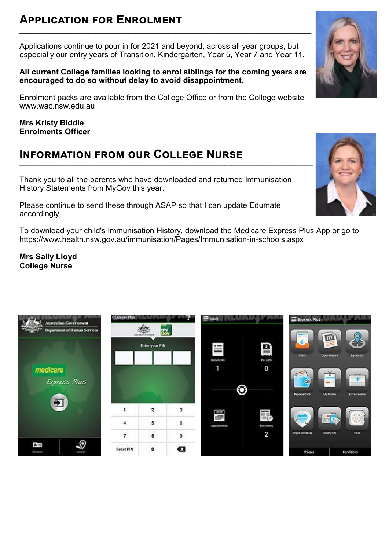## **Application for Enrolment**

Applications continue to pour in for 2021 and beyond, across all year groups, but especially our entry years of Transition, Kindergarten, Year 5, Year 7 and Year 11.

**\_\_\_\_\_\_\_\_\_\_\_\_\_\_\_\_\_\_\_\_\_\_\_\_\_\_\_\_\_\_\_\_\_\_\_\_\_\_\_\_\_\_\_\_\_\_\_\_\_\_\_\_\_\_\_\_\_\_\_\_\_\_\_\_\_\_\_\_\_\_\_\_\_**

#### **All current College families looking to enrol siblings for the coming years are encouraged to do so without delay to avoid disappointment.**

Enrolment packs are available from the College Office or from the College website www.wac.nsw.edu.au

**Mrs Kristy Biddle Enrolments Officer**

### **Information from our College Nurse**

Thank you to all the parents who have downloaded and returned Immunisation History Statements from MyGov this year.

Please continue to send these through ASAP so that I can update Edumate accordingly.

To download your child's Immunisation History, download the Medicare Express Plus App or go to [https://www.health.nsw.gov.au/immunisation/Pages/Immunisation](https://www.health.nsw.gov.au/immunisation/Pages/Immunisation-in-schools.aspx)-in-schools.aspx

**Mrs Sally Lloyd College Nurse**





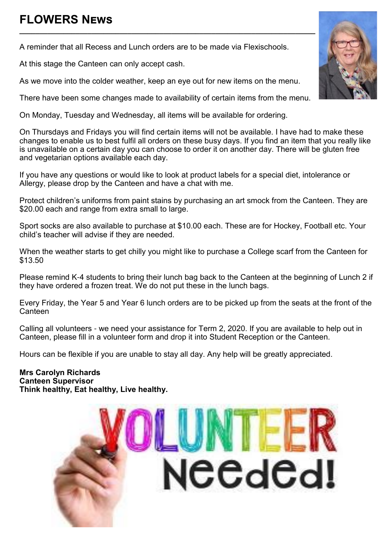## **FLOWERS News**

A reminder that all Recess and Lunch orders are to be made via Flexischools.

At this stage the Canteen can only accept cash.

As we move into the colder weather, keep an eye out for new items on the menu.

There have been some changes made to availability of certain items from the menu.

**\_\_\_\_\_\_\_\_\_\_\_\_\_\_\_\_\_\_\_\_\_\_\_\_\_\_\_\_\_\_\_\_\_\_\_\_\_\_\_\_\_\_\_\_\_\_\_\_\_\_\_\_\_\_\_\_\_\_\_\_\_\_\_\_\_\_\_\_\_\_\_\_\_\_**

On Monday, Tuesday and Wednesday, all items will be available for ordering.

On Thursdays and Fridays you will find certain items will not be available. I have had to make these changes to enable us to best fulfil all orders on these busy days. If you find an item that you really like is unavailable on a certain day you can choose to order it on another day. There will be gluten free and vegetarian options available each day.

If you have any questions or would like to look at product labels for a special diet, intolerance or Allergy, please drop by the Canteen and have a chat with me.

Protect children's uniforms from paint stains by purchasing an art smock from the Canteen. They are \$20.00 each and range from extra small to large.

Sport socks are also available to purchase at \$10.00 each. These are for Hockey, Football etc. Your child's teacher will advise if they are needed.

When the weather starts to get chilly you might like to purchase a College scarf from the Canteen for \$13.50

Please remind K-4 students to bring their lunch bag back to the Canteen at the beginning of Lunch 2 if they have ordered a frozen treat. We do not put these in the lunch bags.

Every Friday, the Year 5 and Year 6 lunch orders are to be picked up from the seats at the front of the **Canteen** 

Calling all volunteers - we need your assistance for Term 2, 2020. If you are available to help out in Canteen, please fill in a volunteer form and drop it into Student Reception or the Canteen.

Hours can be flexible if you are unable to stay all day. Any help will be greatly appreciated.

**Mrs Carolyn Richards Canteen Supervisor Think healthy, Eat healthy, Live healthy.**



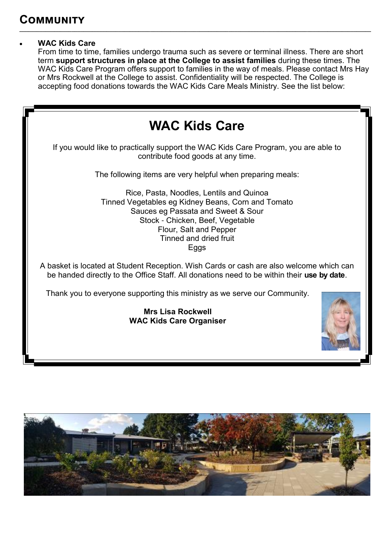#### **WAC Kids Care**

From time to time, families undergo trauma such as severe or terminal illness. There are short term **support structures in place at the College to assist families** during these times. The WAC Kids Care Program offers support to families in the way of meals. Please contact Mrs Hay or Mrs Rockwell at the College to assist. Confidentiality will be respected. The College is accepting food donations towards the WAC Kids Care Meals Ministry. See the list below:

**\_\_\_\_\_\_\_\_\_\_\_\_\_\_\_\_\_\_\_\_\_\_\_\_\_\_\_\_\_\_\_\_\_\_\_\_\_\_\_\_\_\_\_\_\_\_\_\_\_\_\_\_\_\_\_\_\_\_\_\_\_\_\_\_\_\_\_\_\_\_\_\_\_\_\_\_\_\_\_\_\_\_\_\_\_\_\_\_\_\_\_\_\_\_\_\_\_\_\_\_\_\_\_\_\_\_\_\_\_\_\_\_\_\_\_\_\_\_\_\_\_**



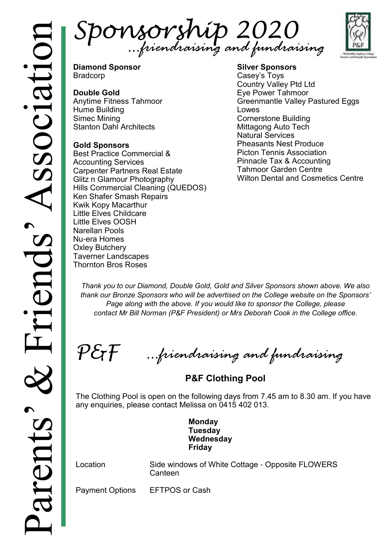Sponsorship 2020 *…friendraising and fundraising*



**Diamond Sponsor** Bradcorp

#### **Double Gold**

Anytime Fitness Tahmoor Hume Building Simec Mining Stanton Dahl Architects

#### **Gold Sponsors**

Best Practice Commercial & Accounting Services Carpenter Partners Real Estate Glitz n Glamour Photography Hills Commercial Cleaning (QUEDOS) Ken Shafer Smash Repairs Kwik Kopy Macarthur Little Elves Childcare Little Elves OOSH Narellan Pools Nu-era Homes Oxley Butchery Taverner Landscapes Thornton Bros Roses

**Silver Sponsors** Casey's Toys Country Valley Ptd Ltd Eye Power Tahmoor Greenmantle Valley Pastured Eggs Lowes Cornerstone Building Mittagong Auto Tech Natural Services Pheasants Nest Produce Picton Tennis Association Pinnacle Tax & Accounting Tahmoor Garden Centre Wilton Dental and Cosmetics Centre

*Thank you to our Diamond, Double Gold, Gold and Silver Sponsors shown above. We also thank our Bronze Sponsors who will be advertised on the College website on the Sponsors'*  Page along with the above. If you would like to sponsor the College, please *contact Mr Bill Norman (P&F President) or Mrs Deborah Cook in the College office.*

 $\mathcal{P}\mathcal{E}\mathcal{\mathcal{F}}$ 

*…friendraising and fundraising*

**P&F Clothing Pool** 

The Clothing Pool is open on the following days from 7.45 am to 8.30 am. If you have any enquiries, please contact Melissa on 0415 402 013.

> **Monday Tuesday Wednesday Friday**

Location Side windows of White Cottage - Opposite FLOWERS **Canteen** 

Payment Options EFTPOS or Cash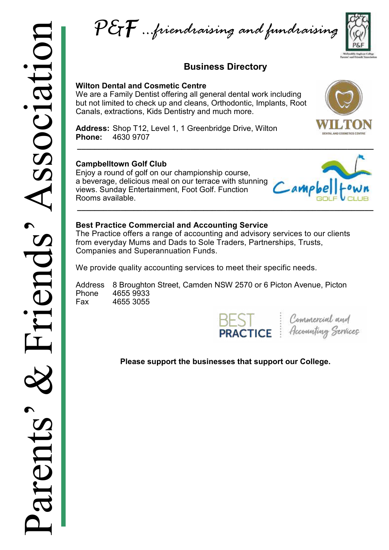P&F *…friendraising and fundraising*

#### **Business Directory**

**\_\_\_\_\_\_\_\_\_\_\_\_\_\_\_\_\_\_\_\_\_\_\_\_\_\_\_\_\_\_\_\_\_\_\_\_\_\_\_\_\_\_\_\_\_\_\_\_\_\_\_\_\_\_\_\_\_\_\_\_\_\_\_\_\_\_\_\_**

#### **Wilton Dental and Cosmetic Centre**

We are a Family Dentist offering all general dental work including but not limited to check up and cleans, Orthodontic, Implants, Root Canals, extractions, Kids Dentistry and much more.



**Address:** [Shop T12, Level 1, 1 Greenbridge Drive, Wilton](https://www.bing.com/local?lid=YN3724x10192246830751270561&id=YN3724x10192246830751270561&q=Wilton+Dental+%26+Cosmetics&name=Wilton+Dental+%26+Cosmetics&cp=-34.228450775146484%7e150.68382263183594&ppois=-34.228450775146484_150.68382263183594_Wilton+Dental+%26)  **Phone:** 4630 9707

#### **Campbelltown Golf Club**

Enjoy a round of golf on our championship course, a beverage, delicious meal on our terrace with stunning views. Sunday Entertainment, Foot Golf. Function Rooms available.



#### **Best Practice Commercial and Accounting Service**

The Practice offers a range of accounting and advisory services to our clients from everyday Mums and Dads to Sole Traders, Partnerships, Trusts, Companies and Superannuation Funds.

We provide quality accounting services to meet their specific needs.

Address 8 Broughton Street, Camden NSW 2570 or 6 Picton Avenue, Picton Phone 4655 9933 Fax 4655 3055

**BEST** Commercial and<br>**PRACTICE** *Accounting Services* 

#### **Please support the businesses that support our College.**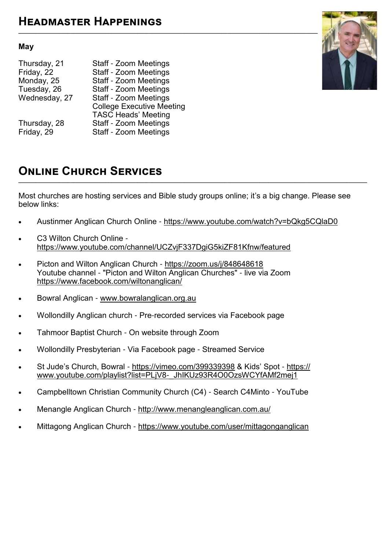#### **May**

| Thursday, 21<br>Friday, 22<br>Monday, 25<br>Tuesday, 26<br>Wednesday, 27 | Staff - Zoom Meetings<br><b>Staff - Zoom Meetings</b><br><b>Staff - Zoom Meetings</b><br><b>Staff - Zoom Meetings</b><br><b>Staff - Zoom Meetings</b><br><b>College Executive Meeting</b><br><b>TASC Heads' Meeting</b> |
|--------------------------------------------------------------------------|-------------------------------------------------------------------------------------------------------------------------------------------------------------------------------------------------------------------------|
| Thursday, 28                                                             | <b>Staff - Zoom Meetings</b>                                                                                                                                                                                            |
| Friday, 29                                                               | <b>Staff - Zoom Meetings</b>                                                                                                                                                                                            |



### **Online Church Services**

Most churches are hosting services and Bible study groups online; it's a big change. Please see below links:

**\_\_\_\_\_\_\_\_\_\_\_\_\_\_\_\_\_\_\_\_\_\_\_\_\_\_\_\_\_\_\_\_\_\_\_\_\_\_\_\_\_\_\_\_\_\_\_\_\_\_\_\_\_\_\_\_\_\_\_\_\_\_\_\_\_\_\_\_\_\_\_\_\_\_\_\_\_\_\_\_\_\_\_\_\_\_\_\_\_\_\_\_\_\_\_\_\_\_\_\_\_\_\_\_\_\_\_\_\_\_\_\_\_\_\_\_\_\_\_\_**

- Austinmer Anglican Church Online <https://www.youtube.com/watch?v=bQkg5CQlaD0>
- C3 Wilton Church Online <https://www.youtube.com/channel/UCZvjF337DgiG5kiZF81Kfnw/featured>
- Picton and Wilton Anglican Church -<https://zoom.us/j/848648618> Youtube channel - "Picton and Wilton Anglican Churches" - live via Zoom <https://www.facebook.com/wiltonanglican/>
- Bowral Anglican - [www.bowralanglican.org.au](http://www.bowralanglican.org.au/)
- Wollondilly Anglican church Pre-recorded services via Facebook page
- Tahmoor Baptist Church On website through Zoom
- Wollondilly Presbyterian Via Facebook page Streamed Service
- St Jude's Church, Bowral <https://vimeo.com/399339398> & Kids' Spot [https://](https://www.youtube.com/playlist?list=PLjV8-_JhIKUz93R4O0OzsWCYfAMf2mej1) [www.youtube.com/playlist?list=PLjV8](https://www.youtube.com/playlist?list=PLjV8-_JhIKUz93R4O0OzsWCYfAMf2mej1)-\_JhIKUz93R4O0OzsWCYfAMf2mej1
- Campbelltown Christian Community Church (C4) Search C4Minto YouTube
- Menangle Anglican Church <http://www.menangleanglican.com.au/>
- Mittagong Anglican Church -<https://www.youtube.com/user/mittagonganglican>